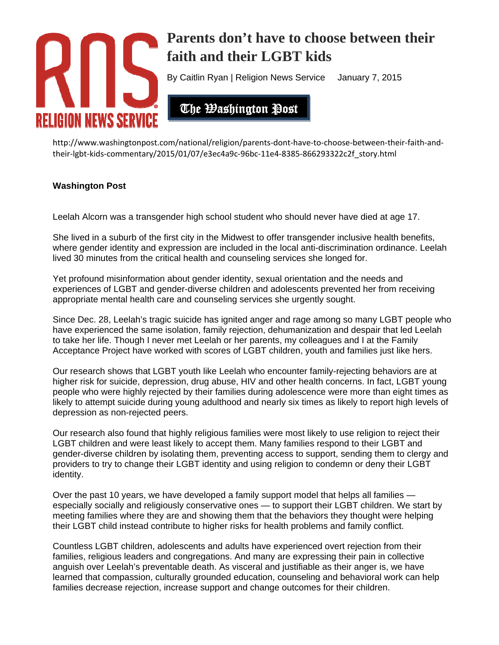

# **Parents don't have to choose between their faith and their LGBT kids**

By Caitlin Ryan | Religion News Service January 7, 2015

The Washington Post

http://www.washingtonpost.com/national/religion/parents‐dont‐have‐to‐choose‐between‐their‐faith‐and‐ their‐lgbt‐kids‐commentary/2015/01/07/e3ec4a9c‐96bc‐11e4‐8385‐866293322c2f\_story.html

## **Washington Post**

Leelah Alcorn was a transgender high school student who should never have died at age 17.

She lived in a suburb of the first city in the Midwest to offer transgender inclusive health benefits, where gender identity and expression are included in the local anti-discrimination ordinance. Leelah lived 30 minutes from the critical health and counseling services she longed for.

Yet profound misinformation about gender identity, sexual orientation and the needs and experiences of LGBT and gender-diverse children and adolescents prevented her from receiving appropriate mental health care and counseling services she urgently sought.

Since Dec. 28, Leelah's tragic suicide has ignited anger and rage among so many LGBT people who have experienced the same isolation, family rejection, dehumanization and despair that led Leelah to take her life. Though I never met Leelah or her parents, my colleagues and I at the Family Acceptance Project have worked with scores of LGBT children, youth and families just like hers.

Our research shows that LGBT youth like Leelah who encounter family-rejecting behaviors are at higher risk for suicide, depression, drug abuse, HIV and other health concerns. In fact, LGBT young people who were highly rejected by their families during adolescence were more than eight times as likely to attempt suicide during young adulthood and nearly six times as likely to report high levels of depression as non-rejected peers.

Our research also found that highly religious families were most likely to use religion to reject their LGBT children and were least likely to accept them. Many families respond to their LGBT and gender-diverse children by isolating them, preventing access to support, sending them to clergy and providers to try to change their LGBT identity and using religion to condemn or deny their LGBT identity.

Over the past 10 years, we have developed a family support model that helps all families especially socially and religiously conservative ones — to support their LGBT children. We start by meeting families where they are and showing them that the behaviors they thought were helping their LGBT child instead contribute to higher risks for health problems and family conflict.

Countless LGBT children, adolescents and adults have experienced overt rejection from their families, religious leaders and congregations. And many are expressing their pain in collective anguish over Leelah's preventable death. As visceral and justifiable as their anger is, we have learned that compassion, culturally grounded education, counseling and behavioral work can help families decrease rejection, increase support and change outcomes for their children.